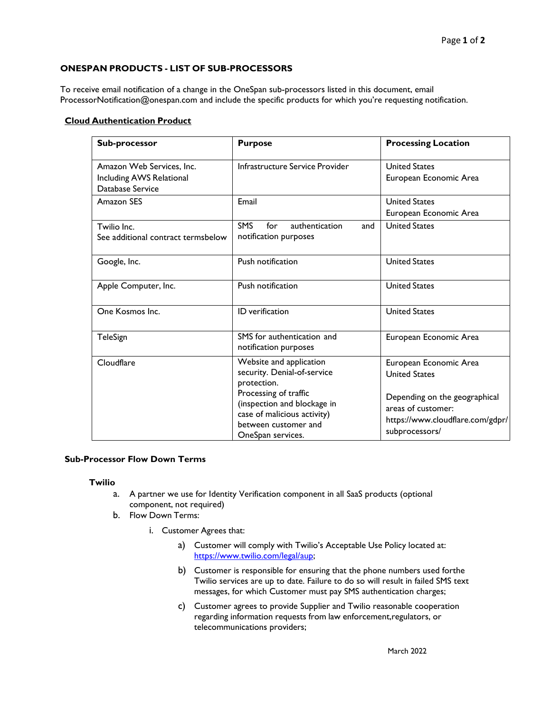## **ONESPAN PRODUCTS - LIST OF SUB-PROCESSORS**

To receive email notification of a change in the OneSpan sub-processors listed in this document, email [ProcessorNotification@onespan.com](mailto:ProcessorNotification@onespan.com) and include the specific products for which you're requesting notification.

## **Cloud Authentication Product**

| Sub-processor                                                             | <b>Purpose</b>                                                                                                                                                                                            | <b>Processing Location</b>                                                                                                                                  |
|---------------------------------------------------------------------------|-----------------------------------------------------------------------------------------------------------------------------------------------------------------------------------------------------------|-------------------------------------------------------------------------------------------------------------------------------------------------------------|
| Amazon Web Services, Inc.<br>Including AWS Relational<br>Database Service | Infrastructure Service Provider                                                                                                                                                                           | <b>United States</b><br>European Economic Area                                                                                                              |
| Amazon SES                                                                | Email                                                                                                                                                                                                     | <b>United States</b><br>European Economic Area                                                                                                              |
| Twilio Inc.<br>See additional contract termsbelow                         | <b>SMS</b><br>for<br>authentication<br>and<br>notification purposes                                                                                                                                       | <b>United States</b>                                                                                                                                        |
| Google, Inc.                                                              | Push notification                                                                                                                                                                                         | <b>United States</b>                                                                                                                                        |
| Apple Computer, Inc.                                                      | Push notification                                                                                                                                                                                         | <b>United States</b>                                                                                                                                        |
| One Kosmos Inc.                                                           | ID verification                                                                                                                                                                                           | <b>United States</b>                                                                                                                                        |
| TeleSign                                                                  | SMS for authentication and<br>notification purposes                                                                                                                                                       | European Economic Area                                                                                                                                      |
| Cloudflare                                                                | Website and application<br>security. Denial-of-service<br>protection.<br>Processing of traffic<br>(inspection and blockage in<br>case of malicious activity)<br>between customer and<br>OneSpan services. | European Economic Area<br><b>United States</b><br>Depending on the geographical<br>areas of customer:<br>https://www.cloudflare.com/gdpr/<br>subprocessors/ |

## **Sub-Processor Flow Down Terms**

## **Twilio**

- a. A partner we use for Identity Verification component in all SaaS products (optional component, not required)
- b. Flow Down Terms:
	- i. Customer Agrees that:
		- a) Customer will comply with Twilio's Acceptable Use Policy located at: [https://www.twilio.com/legal/aup;](https://www.twilio.com/legal/aup)
		- b) Customer is responsible for ensuring that the phone numbers used forthe Twilio services are up to date. Failure to do so will result in failed SMS text messages, for which Customer must pay SMS authentication charges;
		- c) Customer agrees to provide Supplier and Twilio reasonable cooperation regarding information requests from law enforcement,regulators, or telecommunications providers;